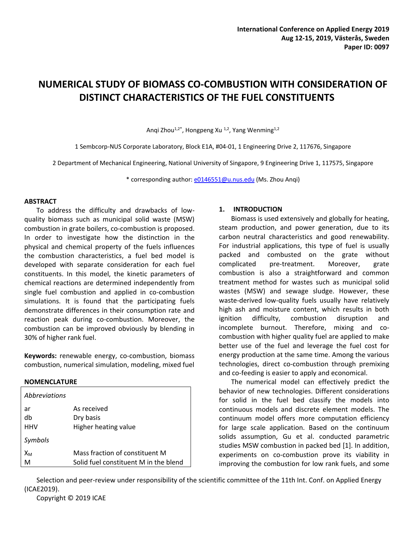# **NUMERICAL STUDY OF BIOMASS CO-COMBUSTION WITH CONSIDERATION OF DISTINCT CHARACTERISTICS OF THE FUEL CONSTITUENTS**

Anqi Zhou<sup>1,2\*</sup>, Hongpeng Xu <sup>1,2</sup>, Yang Wenming<sup>1,2</sup>

1 Sembcorp-NUS Corporate Laboratory, Block E1A, #04-01, 1 Engineering Drive 2, 117676, Singapore

2 Department of Mechanical Engineering, National University of Singapore, 9 Engineering Drive 1, 117575, Singapore

\* corresponding author: [e0146551@u.nus.edu](mailto:e0146551@u.nus.edu) (Ms. Zhou Anqi)

#### **ABSTRACT**

To address the difficulty and drawbacks of lowquality biomass such as municipal solid waste (MSW) combustion in grate boilers, co-combustion is proposed. In order to investigate how the distinction in the physical and chemical property of the fuels influences the combustion characteristics, a fuel bed model is developed with separate consideration for each fuel constituents. In this model, the kinetic parameters of chemical reactions are determined independently from single fuel combustion and applied in co-combustion simulations. It is found that the participating fuels demonstrate differences in their consumption rate and reaction peak during co-combustion. Moreover, the combustion can be improved obviously by blending in 30% of higher rank fuel.

**Keywords:** renewable energy, co-combustion, biomass combustion, numerical simulation, modeling, mixed fuel

#### **NOMENCLATURE**

| <i>Abbreviations</i> |                                       |
|----------------------|---------------------------------------|
| ar                   | As received                           |
| db                   | Dry basis                             |
| <b>HHV</b>           | Higher heating value                  |
| Symbols              |                                       |
| $X_{M}$              | Mass fraction of constituent M        |
| M                    | Solid fuel constituent M in the blend |

#### **1. INTRODUCTION**

Biomass is used extensively and globally for heating, steam production, and power generation, due to its carbon neutral characteristics and good renewability. For industrial applications, this type of fuel is usually packed and combusted on the grate without complicated pre-treatment. Moreover, grate combustion is also a straightforward and common treatment method for wastes such as municipal solid wastes (MSW) and sewage sludge. However, these waste-derived low-quality fuels usually have relatively high ash and moisture content, which results in both ignition difficulty, combustion disruption and incomplete burnout. Therefore, mixing and cocombustion with higher quality fuel are applied to make better use of the fuel and leverage the fuel cost for energy production at the same time. Among the various technologies, direct co-combustion through premixing and co-feeding is easier to apply and economical.

The numerical model can effectively predict the behavior of new technologies. Different considerations for solid in the fuel bed classify the models into continuous models and discrete element models. The continuum model offers more computation efficiency for large scale application. Based on the continuum solids assumption, Gu et al. conducted parametric studies MSW combustion in packed bed [1]. In addition, experiments on co-combustion prove its viability in improving the combustion for low rank fuels, and some

Selection and peer-review under responsibility of the scientific committee of the 11th Int. Conf. on Applied Energy (ICAE2019).

Copyright © 2019 ICAE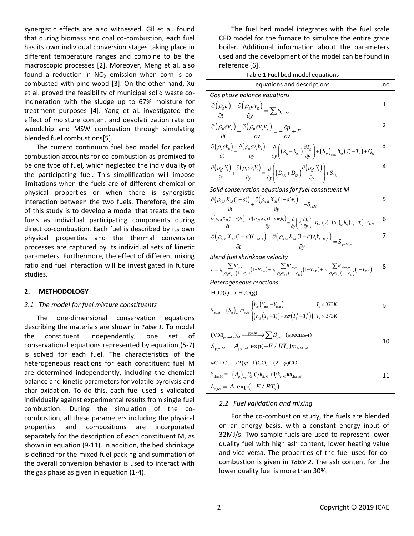synergistic effects are also witnessed. Gil et al. found that during biomass and coal co-combustion, each fuel has its own individual conversion stages taking place in different temperature ranges and combine to be the macroscopic processes [2]. Moreover, Meng et al. also found a reduction in  $NO<sub>X</sub>$  emission when corn is cocombusted with pine wood [3]. On the other hand, Xu et al. proved the feasibility of municipal solid waste coincineration with the sludge up to 67% moisture for treatment purposes [4]. Yang et al. investigated the effect of moisture content and devolatilization rate on woodchip and MSW combustion through simulating blended fuel combustions[5].

The current continuum fuel bed model for packed combustion accounts for co-combustion as premixed to be one type of fuel, which neglected the individuality of the participating fuel. This simplification will impose limitations when the fuels are of different chemical or physical properties or when there is synergistic interaction between the two fuels. Therefore, the aim of this study is to develop a model that treats the two fuels as individual participating components during direct co-combustion. Each fuel is described by its own physical properties and the thermal conversion processes are captured by its individual sets of kinetic parameters. Furthermore, the effect of different mixing ratio and fuel interaction will be investigated in future studies.

#### **2. METHODOLOGY**

### *2.1 The model for fuel mixture constituents*

The one-dimensional conservation equations describing the materials are shown in *[Table 1](#page-1-0)*. To model the constituent independently, one set of conservational equations represented by equation (5-7) is solved for each fuel. The characteristics of the heterogeneous reactions for each constituent fuel M are determined independently, including the chemical balance and kinetic parameters for volatile pyrolysis and char oxidation. To do this, each fuel used is validated individually against experimental results from single fuel combustion. During the simulation of the cocombustion, all these parameters including the physical properties and compositions are incorporated separately for the description of each constituent M, as shown in equation (9-11). In addition, the bed shrinkage is defined for the mixed fuel packing and summation of the overall conversion behavior is used to interact with the gas phase as given in equation (1-4).

The fuel bed model integrates with the fuel scale CFD model for the furnace to simulate the entire grate boiler. Additional information about the parameters used and the development of the model can be found in reference [6].

Table 1 Fuel bed model equations

<span id="page-1-0"></span>

| equations and descriptions                                                                                                                                                                                                                                                                                |  |  |  |
|-----------------------------------------------------------------------------------------------------------------------------------------------------------------------------------------------------------------------------------------------------------------------------------------------------------|--|--|--|
| Gas phase balance equations                                                                                                                                                                                                                                                                               |  |  |  |
| $\frac{\partial \! \left( \boldsymbol{\rho}_{\mathrm{g}} \boldsymbol{\varepsilon} \right)}{\partial t} \! + \! \frac{\partial \! \left( \boldsymbol{\rho}_{\mathrm{g}} \boldsymbol{\varepsilon} \boldsymbol{\nu}_{\mathrm{g}} \right)}{\partial \boldsymbol{\nu}} \! = \! \sum \limits S_{\mathrm{sg},M}$ |  |  |  |
| $\frac{\partial (\rho_{\rm g} \varepsilon v_{\rm g})}{\partial \rho_{\rm g} \varepsilon v_{\rm g} v_{\rm g}} + \frac{\partial (\rho_{\rm g} \varepsilon v_{\rm g} v_{\rm g})}{\partial \rho_{\rm g} \varepsilon} = -\frac{\partial p}{\partial \rho} + F$<br>$\overline{\partial t}$                      |  |  |  |
| $\frac{\partial (\rho_{g} \varepsilon h_{g})}{\partial t} + \frac{\partial (\rho_{g} \varepsilon v_{g} h_{g})}{\partial t} = \frac{\partial}{\partial t} \left( (k_{a} + k_{a}) \frac{\partial T_{g}}{\partial t} + (S_{a}) \right) + h_{\infty} (T_{s} - T_{s}) + Q_{a}$                                 |  |  |  |

$$
\frac{\partial (P_{\rm g}ch_{\rm g})}{\partial t} + \frac{\partial (P_{\rm g}cv_{\rm g}h_{\rm g})}{\partial y} = \frac{\partial}{\partial y} \left( \left( k_{\rm g} + k_{\rm g,t} \right) \frac{\partial T_{\rm g}}{\partial y} \right) + \left( S_{p} \right)_{\rm mix} h_{\rm sg} \left( T_{\rm s} - T_{\rm g} \right) + Q_{\rm g}
$$

$$
\frac{\partial (\rho_{g} \varepsilon Y_{i})}{\partial t} + \frac{\partial (\rho_{g} \varepsilon Y_{g})}{\partial y} = \frac{\partial}{\partial y} \left( (K_{g} + K_{g,t}) \frac{\partial}{\partial y} \right) + (S_{p})_{\text{mix}} n_{sg} (I_{s} - I_{g}) + Q_{g}
$$
\n
$$
\frac{\partial (\rho_{g} \varepsilon Y_{i})}{\partial t} + \frac{\partial (\rho_{g} \varepsilon Y_{g})}{\partial y} = \frac{\partial}{\partial y} \left( (D_{i,g} + D_{g,t}) \frac{\partial (\rho_{g} \varepsilon Y_{i})}{\partial y} \right) + S_{i,g}
$$

Solid conservation equations for fuel constitute 
$$
M
$$

\n
$$
\frac{\partial \left(\rho_{s,M} X_M (1-\varepsilon)\right)}{\partial t} + \frac{\partial \left(\rho_{s,M} X_M (1-\varepsilon)v_s\right)}{\partial y} = -S_{s g,M}
$$
\n
$$
\frac{\partial \left(\rho_{s,M} X_M (1-\varepsilon)h_s\right)}{\partial t} + \frac{\partial \left(\rho_{s,M} X_M (1-\varepsilon)v_s h_s\right)}{\partial y} = \frac{\partial}{\partial y} \left(\lambda_s \frac{\partial T_s}{\partial y}\right) + Q_{\text{rad}}\left(y\right) + \left(S_p\right)_M h_s \left(T_s - T_s\right) + Q_{s,M}
$$
\n6

$$
\frac{\partial (\rho_{s,M}X_M(1-\varepsilon))_+}{\partial t} + \frac{\partial (\rho_{s,M}X_M(1-\varepsilon)v_s)}{\partial y} = -S_{sg.M}
$$
\n
$$
\frac{\partial (\rho_{s,M}X_M(1-\varepsilon)h_s)}{\partial t} + \frac{\partial (\rho_{s,M}X_M(1-\varepsilon)v_s h_s)}{\partial y} = \frac{\partial}{\partial y} \left(\lambda_s \frac{\partial T_s}{\partial y}\right) + Q_{rad}(y) + \left(S_p\right)_M h_{sg}(T_s - T_s) + Q_{s.M}
$$

$$
\frac{\partial (\rho_{s,M} X_M (1-\varepsilon)h_s)}{\partial t} + \frac{\partial (\rho_{s,M} X_M (1-\varepsilon)h_s h_s)}{\partial y} = \frac{\partial}{\partial y} \left( \lambda \frac{\partial I_s}{\partial y} \right) + Q_{\text{rad}} (y) + (S_p)_M h_s (T_s - T_s) + Q_{sM}
$$
\n
$$
\frac{\partial (\rho_{s,M} X_M (1-\varepsilon)Y_{i-M,s})}{\partial t} + \frac{\partial (\rho_{s,M} X_M (1-\varepsilon)Y_{s-M,s})}{\partial y} = S_{j-M,s}
$$
\nBlend fuel shrinkage velocity

\n
$$
v_s = a_t \frac{\sum R_{\text{cycM}}}{\rho_s \omega_{2A} (1-\varepsilon_A)} (1 - V_{\text{BA}}) + a_2 \frac{\sum R_{\text{cycM}}}{\rho_s \omega_{3B} (1-\varepsilon_B)} (1 - V_{\text{ca}}) + a_3 \frac{\sum R_{\text{cycM}}}{\rho_s \omega_{3C} (1-\varepsilon_C)} (1 - V_{\text{DC}})
$$

$$
\begin{array}{ll}\n\partial t & \partial y & \text{if } \\
\text{Blend fuel shrinkage velocity} \\
v_s = a_1 \frac{\sum R_{\text{exp,M}}}{\rho_2 \omega_{2\text{A}} \left(1 - \varepsilon_{\text{A}}\right)} \left(1 - V_{\text{BA}}\right) + a_2 \frac{\sum R_{\text{exp,M}}}{\rho_3 \omega_{3\text{B}} \left(1 - \varepsilon_{\text{B}}\right)} \left(1 - V_{\text{CB}}\right) + a_3 \frac{\sum R_{\text{char,M}}}{\rho_4 \omega_{4\text{C}} \left(1 - \varepsilon_{\text{C}}\right)} \left(1 - V_{\text{DC}}\right) & 8\n\end{array}
$$

*Heterogeneous reactions*

$$
H_2O(l) \to H_2O(g)
$$

$$
H_2O(l) \to H_2O(g)
$$
  
\n
$$
S_{m,M} = (S_p)_M m_{m,M} \begin{cases} h_m(Y_{m,s} - Y_{m,g}) & , T_s < 373K \\ (h_m(Y_{m,s} - Y_{m,g}) + \varepsilon \sigma (T_s^4 - T_s^4)), T_s > 373K \end{cases}
$$

$$
(\text{VM}_{\text{pseudo}})_M \xrightarrow{\text{pyr}, M} \sum \beta_{i,M} \cdot (\text{species-i})
$$
  
\n
$$
S_{\text{pyr},M} = A_{\text{pyr},M} \exp(-E / RT_s) m_{\text{VM},M}
$$
  
\n
$$
\varphi C + O_2 \rightarrow 2(\varphi - 1) \text{CO}_2 + (2 - \varphi) \text{CO}
$$
  
\n
$$
S_{\text{char},M} = -(A_p)_M P_{O_2}(1/k_{d,M} + 1/k_{r,M}) m_{\text{char},M}
$$
  
\n
$$
k_{r,M} = A \exp(-E / RT_s)
$$

### *2.2 Fuel validation and mixing*

For the co-combustion study, the fuels are blended on an energy basis, with a constant energy input of 32MJ/s. Two sample fuels are used to represent lower quality fuel with high ash content, lower heating value and vice versa. The properties of the fuel used for cocombustion is given in *[Table 2](#page-2-0)*. The ash content for the lower quality fuel is more than 30%.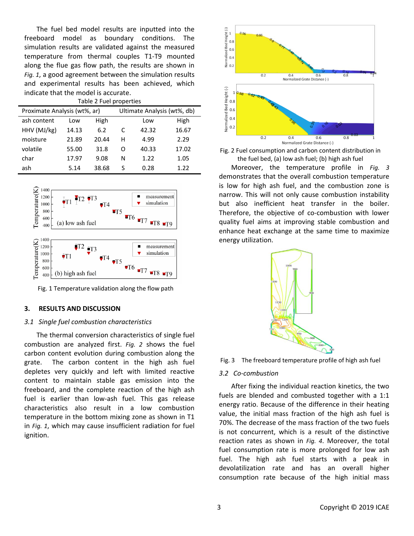The fuel bed model results are inputted into the freeboard model as boundary conditions. The simulation results are validated against the measured temperature from thermal couples T1-T9 mounted along the flue gas flow path, the results are shown in *[Fig. 1](#page-2-1)*, a good agreement between the simulation results and experimental results has been achieved, which indicate that the model is accurate.

<span id="page-2-0"></span>

| Table 2 Fuel properties      |       |       |                             |       |       |  |  |  |
|------------------------------|-------|-------|-----------------------------|-------|-------|--|--|--|
| Proximate Analysis (wt%, ar) |       |       | Ultimate Analysis (wt%, db) |       |       |  |  |  |
| ash content                  | Low   | High  |                             | Low   | High  |  |  |  |
| HHV (MJ/kg)                  | 14.13 | 6.2   | C                           | 42.32 | 16.67 |  |  |  |
| moisture                     | 21.89 | 20.44 | н                           | 4.99  | 2.29  |  |  |  |
| volatile                     | 55.00 | 31.8  | Ω                           | 40.33 | 17.02 |  |  |  |
| char                         | 17.97 | 9.08  | N                           | 1.22  | 1.05  |  |  |  |
| ash                          | 5.14  | 38.68 | S                           | 0.28  | 1.22  |  |  |  |



<span id="page-2-1"></span>Fig. 1 Temperature validation along the flow path

#### **3. RESULTS AND DISCUSSION**

#### *3.1 Single fuel combustion characteristics*

The thermal conversion characteristics of single fuel combustion are analyzed first. *[Fig. 2](#page-2-2)* shows the fuel carbon content evolution during combustion along the grate. The carbon content in the high ash fuel depletes very quickly and left with limited reactive content to maintain stable gas emission into the freeboard, and the complete reaction of the high ash fuel is earlier than low-ash fuel. This gas release characteristics also result in a low combustion temperature in the bottom mixing zone as shown in T1 in *[Fig. 1](#page-2-1)*, which may cause insufficient radiation for fuel ignition.



<span id="page-2-2"></span>Fig. 2 Fuel consumption and carbon content distribution in the fuel bed, (a) low ash fuel; (b) high ash fuel

Moreover, the temperature profile in *[Fig. 3](#page-2-3)* demonstrates that the overall combustion temperature is low for high ash fuel, and the combustion zone is narrow. This will not only cause combustion instability but also inefficient heat transfer in the boiler. Therefore, the objective of co-combustion with lower quality fuel aims at improving stable combustion and enhance heat exchange at the same time to maximize energy utilization.



<span id="page-2-3"></span>Fig. 3 The freeboard temperature profile of high ash fuel

#### *3.2 Co-combustion*

After fixing the individual reaction kinetics, the two fuels are blended and combusted together with a 1:1 energy ratio. Because of the difference in their heating value, the initial mass fraction of the high ash fuel is 70%. The decrease of the mass fraction of the two fuels is not concurrent, which is a result of the distinctive reaction rates as shown in *[Fig.](#page-3-0) 4*. Moreover, the total fuel consumption rate is more prolonged for low ash fuel. The high ash fuel starts with a peak in devolatilization rate and has an overall higher consumption rate because of the high initial mass